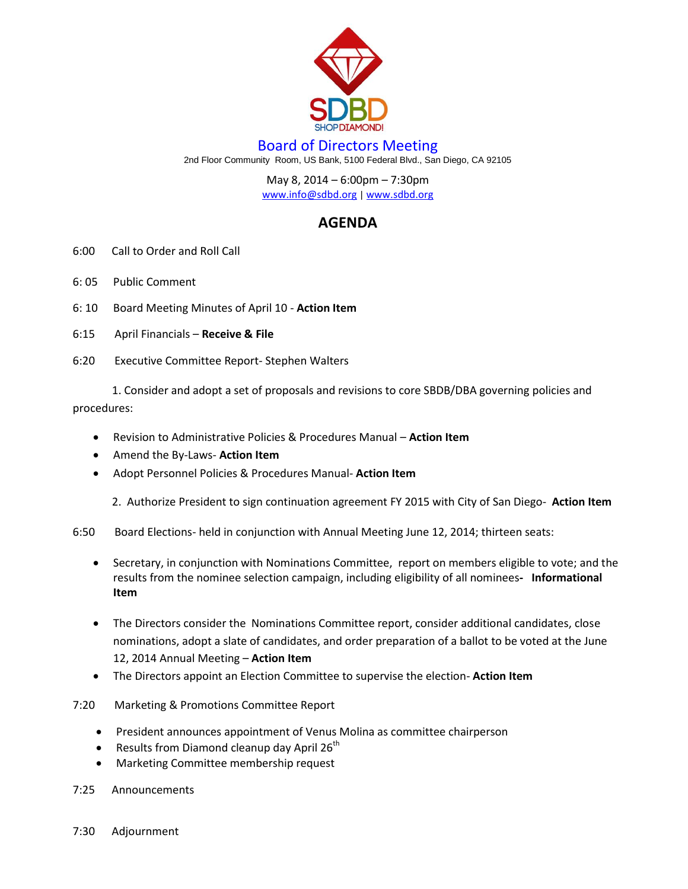

## Board of Directors Meeting

2nd Floor Community Room, US Bank, 5100 Federal Blvd., San Diego, CA 92105

May 8, 2014 – 6:00pm – 7:30pm

[www.info@sdbd.org](about:blank) | [www.sdbd.org](http://www.sdbd.org/)

## **AGENDA**

- 6:00 Call to Order and Roll Call
- 6: 05 Public Comment
- 6: 10 Board Meeting Minutes of April 10 **Action Item**
- 6:15 April Financials **Receive & File**
- 6:20 Executive Committee Report- Stephen Walters

 1. Consider and adopt a set of proposals and revisions to core SBDB/DBA governing policies and procedures:

- Revision to Administrative Policies & Procedures Manual **Action Item**
- Amend the By-Laws- **Action Item**
- Adopt Personnel Policies & Procedures Manual- **Action Item**

2. Authorize President to sign continuation agreement FY 2015 with City of San Diego- **Action Item**

6:50 Board Elections- held in conjunction with Annual Meeting June 12, 2014; thirteen seats:

- Secretary, in conjunction with Nominations Committee, report on members eligible to vote; and the results from the nominee selection campaign, including eligibility of all nominees**- Informational Item**
- The Directors consider the Nominations Committee report, consider additional candidates, close nominations, adopt a slate of candidates, and order preparation of a ballot to be voted at the June 12, 2014 Annual Meeting – **Action Item**
- The Directors appoint an Election Committee to supervise the election- **Action Item**
- 7:20 Marketing & Promotions Committee Report
	- President announces appointment of Venus Molina as committee chairperson
	- **•** Results from Diamond cleanup day April  $26^{th}$
	- Marketing Committee membership request
- 7:25 Announcements
- 7:30 Adjournment